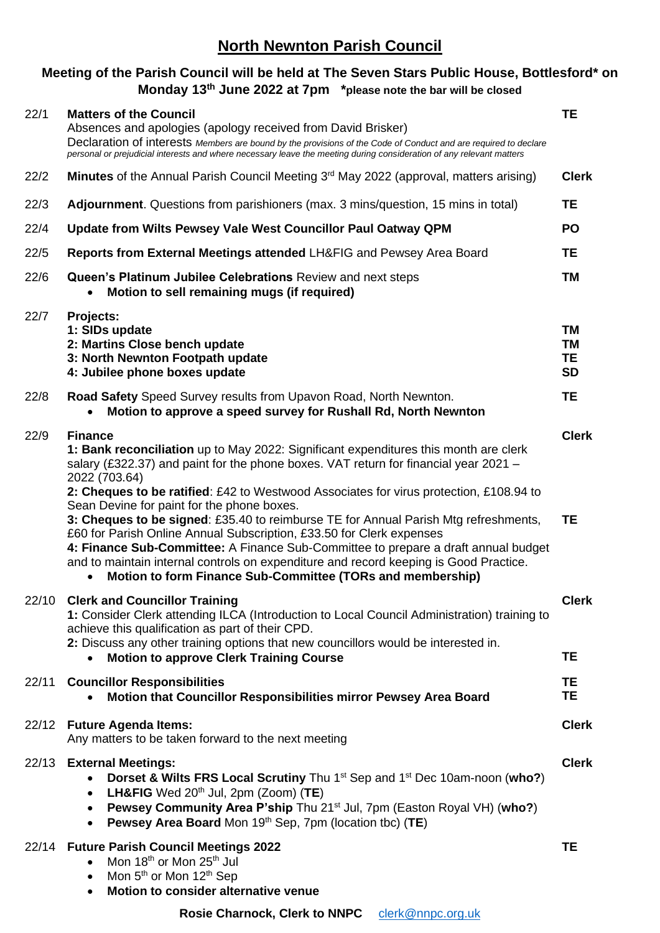## **North Newnton Parish Council**

## **Meeting of the Parish Council will be held at The Seven Stars Public House, Bottlesford\* on Monday 13th June 2022 at 7pm \*please note the bar will be closed**

| 22/1  | <b>Matters of the Council</b><br>Absences and apologies (apology received from David Brisker)<br>Declaration of interests Members are bound by the provisions of the Code of Conduct and are required to declare<br>personal or prejudicial interests and where necessary leave the meeting during consideration of any relevant matters                                                                 | <b>TE</b>                                 |
|-------|----------------------------------------------------------------------------------------------------------------------------------------------------------------------------------------------------------------------------------------------------------------------------------------------------------------------------------------------------------------------------------------------------------|-------------------------------------------|
| 22/2  | Minutes of the Annual Parish Council Meeting 3 <sup>rd</sup> May 2022 (approval, matters arising)                                                                                                                                                                                                                                                                                                        | <b>Clerk</b>                              |
| 22/3  | Adjournment. Questions from parishioners (max. 3 mins/question, 15 mins in total)                                                                                                                                                                                                                                                                                                                        | <b>TE</b>                                 |
| 22/4  | Update from Wilts Pewsey Vale West Councillor Paul Oatway QPM                                                                                                                                                                                                                                                                                                                                            | <b>PO</b>                                 |
| 22/5  | Reports from External Meetings attended LH&FIG and Pewsey Area Board                                                                                                                                                                                                                                                                                                                                     | <b>TE</b>                                 |
| 22/6  | Queen's Platinum Jubilee Celebrations Review and next steps<br>Motion to sell remaining mugs (if required)                                                                                                                                                                                                                                                                                               | <b>TM</b>                                 |
| 22/7  | Projects:<br>1: SIDs update<br>2: Martins Close bench update<br>3: North Newnton Footpath update<br>4: Jubilee phone boxes update                                                                                                                                                                                                                                                                        | TM<br><b>TM</b><br><b>TE</b><br><b>SD</b> |
| 22/8  | Road Safety Speed Survey results from Upavon Road, North Newnton.<br>Motion to approve a speed survey for Rushall Rd, North Newnton                                                                                                                                                                                                                                                                      | <b>TE</b>                                 |
| 22/9  | <b>Finance</b><br>1: Bank reconciliation up to May 2022: Significant expenditures this month are clerk<br>salary (£322.37) and paint for the phone boxes. VAT return for financial year 2021 -<br>2022 (703.64)<br>2: Cheques to be ratified: £42 to Westwood Associates for virus protection, £108.94 to<br>Sean Devine for paint for the phone boxes.                                                  | <b>Clerk</b>                              |
|       | 3: Cheques to be signed: £35.40 to reimburse TE for Annual Parish Mtg refreshments,<br>£60 for Parish Online Annual Subscription, £33.50 for Clerk expenses<br>4: Finance Sub-Committee: A Finance Sub-Committee to prepare a draft annual budget<br>and to maintain internal controls on expenditure and record keeping is Good Practice.<br>Motion to form Finance Sub-Committee (TORs and membership) | <b>TE</b>                                 |
|       | 22/10 Clerk and Councillor Training<br>1: Consider Clerk attending ILCA (Introduction to Local Council Administration) training to<br>achieve this qualification as part of their CPD.<br>2: Discuss any other training options that new councillors would be interested in.<br><b>Motion to approve Clerk Training Course</b>                                                                           | <b>Clerk</b><br>TЕ                        |
| 22/11 | <b>Councillor Responsibilities</b><br>Motion that Councillor Responsibilities mirror Pewsey Area Board                                                                                                                                                                                                                                                                                                   | TE<br>TE                                  |
| 22/12 | <b>Future Agenda Items:</b><br>Any matters to be taken forward to the next meeting                                                                                                                                                                                                                                                                                                                       | <b>Clerk</b>                              |
|       | 22/13 External Meetings:<br>Dorset & Wilts FRS Local Scrutiny Thu 1 <sup>st</sup> Sep and 1 <sup>st</sup> Dec 10am-noon (who?)<br>LH&FIG Wed 20 <sup>th</sup> Jul, 2pm (Zoom) (TE)<br>$\bullet$<br>Pewsey Community Area P'ship Thu 21 <sup>st</sup> Jul, 7pm (Easton Royal VH) (who?)<br>$\bullet$<br>Pewsey Area Board Mon 19th Sep, 7pm (location tbc) (TE)<br>$\bullet$                              | <b>Clerk</b>                              |
|       | 22/14 Future Parish Council Meetings 2022<br>Mon 18 <sup>th</sup> or Mon 25 <sup>th</sup> Jul<br>Mon 5 <sup>th</sup> or Mon 12 <sup>th</sup> Sep<br>$\bullet$<br>Motion to consider alternative venue                                                                                                                                                                                                    | <b>TE</b>                                 |